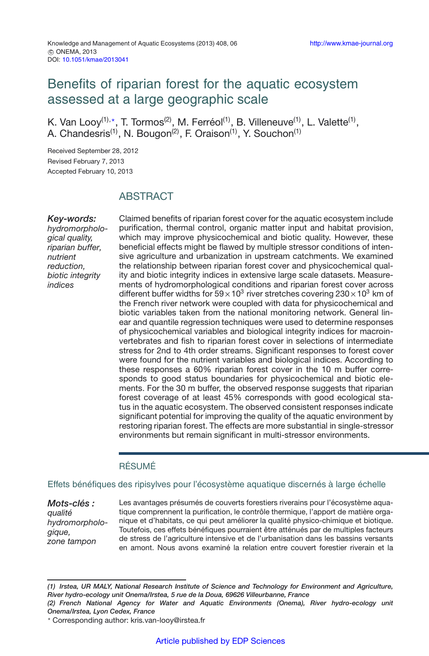# Benefits of riparian forest for the aquatic ecosystem assessed at a large geographic scale

K. Van Looy<sup>(1),\*</sup>, T. Tormos<sup>(2)</sup>, M. Ferréol<sup>(1)</sup>, B. Villeneuve<sup>(1)</sup>, L. Valette<sup>(1)</sup>, A. Chandesris<sup>(1)</sup>, N. Bougon<sup>(2)</sup>, F. Oraison<sup>(1)</sup>, Y. Souchon<sup>(1)</sup>

Received September 28, 2012 Revised February 7, 2013 Accepted February 10, 2013

## **ABSTRACT**

### *Key-words:*

*hydromorphological quality, riparian buffer, nutrient reduction, biotic integrity indices*

Claimed benefits of riparian forest cover for the aquatic ecosystem include purification, thermal control, organic matter input and habitat provision, which may improve physicochemical and biotic quality. However, these beneficial effects might be flawed by multiple stressor conditions of intensive agriculture and urbanization in upstream catchments. We examined the relationship between riparian forest cover and physicochemical quality and biotic integrity indices in extensive large scale datasets. Measurements of hydromorphological conditions and riparian forest cover across different buffer widths for  $59 \times 10^3$  river stretches covering  $230 \times 10^3$  km of the French river network were coupled with data for physicochemical and biotic variables taken from the national monitoring network. General linear and quantile regression techniques were used to determine responses of physicochemical variables and biological integrity indices for macroinvertebrates and fish to riparian forest cover in selections of intermediate stress for 2nd to 4th order streams. Significant responses to forest cover were found for the nutrient variables and biological indices. According to these responses a 60% riparian forest cover in the 10 m buffer corresponds to good status boundaries for physicochemical and biotic elements. For the 30 m buffer, the observed response suggests that riparian forest coverage of at least 45% corresponds with good ecological status in the aquatic ecosystem. The observed consistent responses indicate significant potential for improving the quality of the aquatic environment by restoring riparian forest. The effects are more substantial in single-stressor environments but remain significant in multi-stressor environments.

### RÉSUMÉ

### Effets bénéfiques des ripisylves pour l'écosystème aquatique discernés à large échelle

*Mots-clés : qualité hydromorphologique, zone tampon*

Les avantages présumés de couverts forestiers riverains pour l'écosystème aquatique comprennent la purification, le contrôle thermique, l'apport de matière organique et d'habitats, ce qui peut améliorer la qualité physico-chimique et biotique. Toutefois, ces effets bénéfiques pourraient être atténués par de multiples facteurs de stress de l'agriculture intensive et de l'urbanisation dans les bassins versants en amont. Nous avons examiné la relation entre couvert forestier riverain et la

*<sup>(1)</sup> Irstea, UR MALY, National Research Institute of Science and Technology for Environment and Agriculture, River hydro-ecology unit Onema/Irstea, 5 rue de la Doua, 69626 Villeurbanne, France*

*<sup>(2)</sup> French National Agency for Water and Aquatic Environments (Onema), River hydro-ecology unit Onema/Irstea, Lyon Cedex, France*

<sup>-</sup> Corresponding author: kris.van-looy@irstea.fr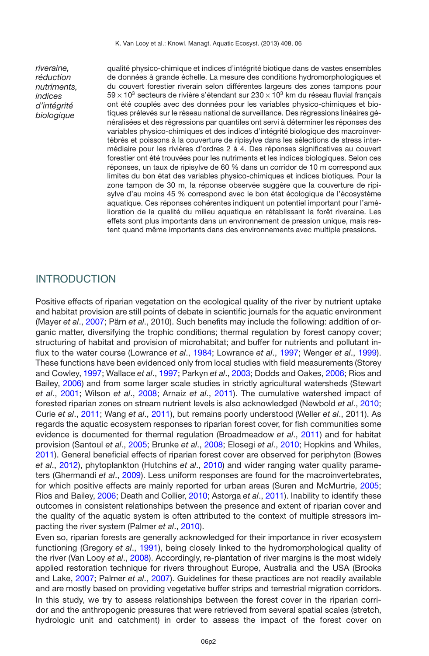*riveraine, réduction nutriments, indices d'intégrité biologique*

qualité physico-chimique et indices d'intégrité biotique dans de vastes ensembles de données à grande échelle. La mesure des conditions hydromorphologiques et du couvert forestier riverain selon différentes largeurs des zones tampons pour  $59 \times 10^3$  secteurs de rivière s'étendant sur 230  $\times 10^3$  km du réseau fluvial français ont été couplés avec des données pour les variables physico-chimiques et biotiques prélevés sur le réseau national de surveillance. Des régressions linéaires généralisées et des régressions par quantiles ont servi à déterminer les réponses des variables physico-chimiques et des indices d'intégrité biologique des macroinvertébrés et poissons à la couverture de ripisylve dans les sélections de stress intermédiaire pour les rivières d'ordres 2 à 4. Des réponses significatives au couvert forestier ont été trouvées pour les nutriments et les indices biologiques. Selon ces réponses, un taux de ripisylve de 60 % dans un corridor de 10 m correspond aux limites du bon état des variables physico-chimiques et indices biotiques. Pour la zone tampon de 30 m, la réponse observée suggère que la couverture de ripisylve d'au moins 45 % correspond avec le bon état écologique de l'écosystème aquatique. Ces réponses cohérentes indiquent un potentiel important pour l'amélioration de la qualité du milieu aquatique en rétablissant la forêt riveraine. Les effets sont plus importants dans un environnement de pression unique, mais restent quand même importants dans des environnements avec multiple pressions.

## INTRODUCTION

Positive effects of riparian vegetation on the ecological quality of the river by nutrient uptake and habitat provision are still points of debate in scientific journals for the aquatic environment (Mayer *et al*., [2007](#page-14-0); Pärn *et al*., 2010). Such benefits may include the following: addition of organic matter, diversifying the trophic conditions; thermal regulation by forest canopy cover; structuring of habitat and provision of microhabitat; and buffer for nutrients and pollutant influx to the water course (Lowrance *et al*., [1984;](#page-14-1) Lowrance *et al*., [1997;](#page-14-2) Wenger *et al*., [1999](#page-15-0)). These functions have been evidenced only from local studies with field measurements (Storey and Cowley, [1997](#page-15-1); Wallace *et al*., [1997](#page-15-2); Parkyn *et al*., [2003;](#page-15-3) Dodds and Oakes, [2006;](#page-14-3) Rios and Bailey, [2006](#page-15-4)) and from some larger scale studies in strictly agricultural watersheds (Stewart *et al*., [2001](#page-15-5); Wilson *et al*., [2008;](#page-15-6) Arnaiz *et al*., [2011](#page-13-0)). The cumulative watershed impact of forested riparian zones on stream nutrient levels is also acknowledged (Newbold *et al*., [2010;](#page-14-4) Curie *et al*., [2011;](#page-14-5) Wang *et al*., [2011](#page-15-7)), but remains poorly understood (Weller *et al*., 2011). As regards the aquatic ecosystem responses to riparian forest cover, for fish communities some evidence is documented for thermal regulation (Broadmeadow *et al*., [2011](#page-13-1)) and for habitat provision (Santoul *et al*., [2005](#page-15-8); Brunke *et al*., [2008](#page-13-2); Elosegi *et al*., [2010;](#page-14-6) Hopkins and Whiles, [2011\)](#page-14-7). General beneficial effects of riparian forest cover are observed for periphyton (Bowes *et al*., [2012\)](#page-13-3), phytoplankton (Hutchins *et al*., [2010](#page-14-8)) and wider ranging water quality parameters (Ghermandi *et al*., [2009\)](#page-14-9). Less uniform responses are found for the macroinvertebrates, for which positive effects are mainly reported for urban areas (Suren and McMurtrie, [2005;](#page-15-9) Rios and Bailey, [2006](#page-15-4); Death and Collier, [2010;](#page-14-10) Astorga *et al*., [2011](#page-13-4)). Inability to identify these outcomes in consistent relationships between the presence and extent of riparian cover and the quality of the aquatic system is often attributed to the context of multiple stressors impacting the river system (Palmer *et al*., [2010](#page-15-10)).

Even so, riparian forests are generally acknowledged for their importance in river ecosystem functioning (Gregory *et al*., [1991](#page-14-11)), being closely linked to the hydromorphological quality of the river (Van Looy *et al*., [2008\)](#page-15-11). Accordingly, re-plantation of river margins is the most widely applied restoration technique for rivers throughout Europe, Australia and the USA (Brooks and Lake, [2007;](#page-13-5) Palmer *et al*., [2007](#page-14-12)). Guidelines for these practices are not readily available and are mostly based on providing vegetative buffer strips and terrestrial migration corridors. In this study, we try to assess relationships between the forest cover in the riparian corridor and the anthropogenic pressures that were retrieved from several spatial scales (stretch, hydrologic unit and catchment) in order to assess the impact of the forest cover on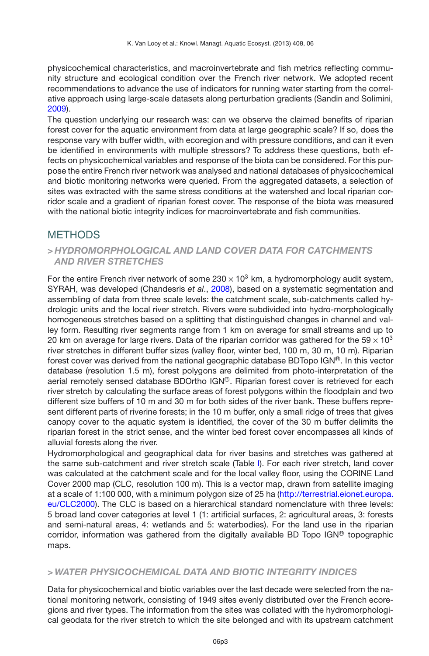physicochemical characteristics, and macroinvertebrate and fish metrics reflecting community structure and ecological condition over the French river network. We adopted recent recommendations to advance the use of indicators for running water starting from the correlative approach using large-scale datasets along perturbation gradients (Sandin and Solimini, [2009\)](#page-15-12).

The question underlying our research was: can we observe the claimed benefits of riparian forest cover for the aquatic environment from data at large geographic scale? If so, does the response vary with buffer width, with ecoregion and with pressure conditions, and can it even be identified in environments with multiple stressors? To address these questions, both effects on physicochemical variables and response of the biota can be considered. For this purpose the entire French river network was analysed and national databases of physicochemical and biotic monitoring networks were queried. From the aggregated datasets, a selection of sites was extracted with the same stress conditions at the watershed and local riparian corridor scale and a gradient of riparian forest cover. The response of the biota was measured with the national biotic integrity indices for macroinvertebrate and fish communities.

## METHODS

## *> HYDROMORPHOLOGICAL AND LAND COVER DATA FOR CATCHMENTS AND RIVER STRETCHES*

For the entire French river network of some  $230 \times 10^3$  km, a hydromorphology audit system, SYRAH, was developed (Chandesris *et al*., [2008](#page-14-13)), based on a systematic segmentation and assembling of data from three scale levels: the catchment scale, sub-catchments called hydrologic units and the local river stretch. Rivers were subdivided into hydro-morphologically homogeneous stretches based on a splitting that distinguished changes in channel and valley form. Resulting river segments range from 1 km on average for small streams and up to 20 km on average for large rivers. Data of the riparian corridor was gathered for the 59  $\times$  10<sup>3</sup> river stretches in different buffer sizes (valley floor, winter bed, 100 m, 30 m, 10 m). Riparian forest cover was derived from the national geographic database BDTopo IGN®. In this vector database (resolution 1.5 m), forest polygons are delimited from photo-interpretation of the aerial remotely sensed database BDOrtho IGN®. Riparian forest cover is retrieved for each river stretch by calculating the surface areas of forest polygons within the floodplain and two different size buffers of 10 m and 30 m for both sides of the river bank. These buffers represent different parts of riverine forests; in the 10 m buffer, only a small ridge of trees that gives canopy cover to the aquatic system is identified, the cover of the 30 m buffer delimits the riparian forest in the strict sense, and the winter bed forest cover encompasses all kinds of alluvial forests along the river.

Hydromorphological and geographical data for river basins and stretches was gathered at the same sub-catchment and river stretch scale (Table [I\)](#page-3-0). For each river stretch, land cover was calculated at the catchment scale and for the local valley floor, using the CORINE Land Cover 2000 map (CLC, resolution 100 m). This is a vector map, drawn from satellite imaging at a scale of 1:100 000, with a minimum polygon size of 25 ha [\(http://terrestrial.eionet.europa.](http://terrestrial.eionet.europa.eu/CLC2000) [eu/CLC2000\)](http://terrestrial.eionet.europa.eu/CLC2000). The CLC is based on a hierarchical standard nomenclature with three levels: 5 broad land cover categories at level 1 (1: artificial surfaces, 2: agricultural areas, 3: forests and semi-natural areas, 4: wetlands and 5: waterbodies). For the land use in the riparian corridor, information was gathered from the digitally available BD Topo  $\mathsf{IGN}^{\circledast}$  topographic maps.

## *> WATER PHYSICOCHEMICAL DATA AND BIOTIC INTEGRITY INDICES*

Data for physicochemical and biotic variables over the last decade were selected from the national monitoring network, consisting of 1949 sites evenly distributed over the French ecoregions and river types. The information from the sites was collated with the hydromorphological geodata for the river stretch to which the site belonged and with its upstream catchment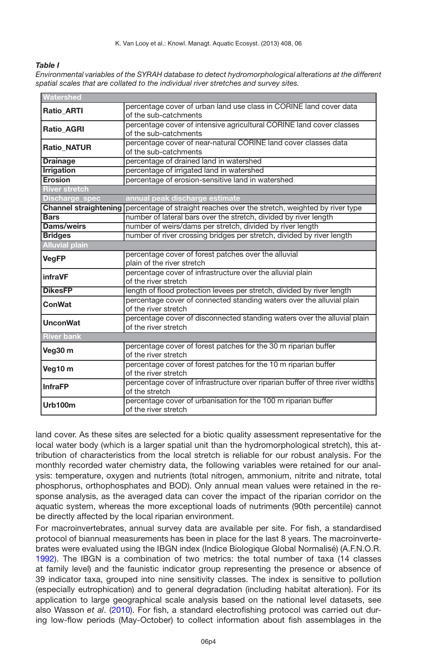### <span id="page-3-0"></span>*Table I*

| Environmental variables of the SYRAH database to detect hydromorphological alterations at the different |  |
|---------------------------------------------------------------------------------------------------------|--|
| spatial scales that are collated to the individual river stretches and survey sites.                    |  |

| Watershed                    |                                                                               |
|------------------------------|-------------------------------------------------------------------------------|
| <b>Ratio ARTI</b>            | percentage cover of urban land use class in CORINE land cover data            |
|                              | of the sub-catchments                                                         |
| <b>Ratio AGRI</b>            | percentage cover of intensive agricultural CORINE land cover classes          |
|                              | of the sub-catchments                                                         |
| <b>Ratio NATUR</b>           | percentage cover of near-natural CORINE land cover classes data               |
|                              | of the sub-catchments                                                         |
| <b>Drainage</b>              | percentage of drained land in watershed                                       |
| <b>Irrigation</b>            | percentage of irrigated land in watershed                                     |
| <b>Erosion</b>               | percentage of erosion-sensitive land in watershed                             |
| <b>River stretch</b>         |                                                                               |
| <b>Discharge spec</b>        | annual peak discharge estimate                                                |
| <b>Channel straightening</b> | percentage of straight reaches over the stretch, weighted by river type       |
| <b>Bars</b>                  | number of lateral bars over the stretch, divided by river length              |
| Dams/weirs                   | number of weirs/dams per stretch, divided by river length                     |
| <b>Bridges</b>               | number of river crossing bridges per stretch, divided by river length         |
| <b>Alluvial plain</b>        |                                                                               |
| <b>VegFP</b>                 | percentage cover of forest patches over the alluvial                          |
|                              | plain of the river stretch                                                    |
| <b>infraVF</b>               | percentage cover of infrastructure over the alluvial plain                    |
|                              | of the river stretch                                                          |
| <b>DikesFP</b>               | length of flood protection levees per stretch, divided by river length        |
| <b>ConWat</b>                | percentage cover of connected standing waters over the alluvial plain         |
|                              | of the river stretch                                                          |
| <b>UnconWat</b>              | percentage cover of disconnected standing waters over the alluvial plain      |
|                              | of the river stretch                                                          |
| <b>River bank</b>            |                                                                               |
| Veg30 m                      | percentage cover of forest patches for the 30 m riparian buffer               |
|                              | of the river stretch                                                          |
| Veg10 m                      | percentage cover of forest patches for the 10 m riparian buffer               |
|                              | of the river stretch                                                          |
| <b>InfraFP</b>               | percentage cover of infrastructure over riparian buffer of three river widths |
|                              | of the stretch                                                                |
| Urb100m                      | percentage cover of urbanisation for the 100 m riparian buffer                |
|                              | of the river stretch                                                          |

land cover. As these sites are selected for a biotic quality assessment representative for the local water body (which is a larger spatial unit than the hydromorphological stretch), this attribution of characteristics from the local stretch is reliable for our robust analysis. For the monthly recorded water chemistry data, the following variables were retained for our analysis: temperature, oxygen and nutrients (total nitrogen, ammonium, nitrite and nitrate, total phosphorus, orthophosphates and BOD). Only annual mean values were retained in the response analysis, as the averaged data can cover the impact of the riparian corridor on the aquatic system, whereas the more exceptional loads of nutriments (90th percentile) cannot be directly affected by the local riparian environment.

For macroinvertebrates, annual survey data are available per site. For fish, a standardised protocol of biannual measurements has been in place for the last 8 years. The macroinvertebrates were evaluated using the IBGN index (Indice Biologique Global Normalisé) (A.F.N.O.R. [1992\)](#page-13-6). The IBGN is a combination of two metrics: the total number of taxa (14 classes at family level) and the faunistic indicator group representing the presence or absence of 39 indicator taxa, grouped into nine sensitivity classes. The index is sensitive to pollution (especially eutrophication) and to general degradation (including habitat alteration). For its application to large geographical scale analysis based on the national level datasets, see also Wasson *et al*. [\(2010\)](#page-15-13). For fish, a standard electrofishing protocol was carried out during low-flow periods (May-October) to collect information about fish assemblages in the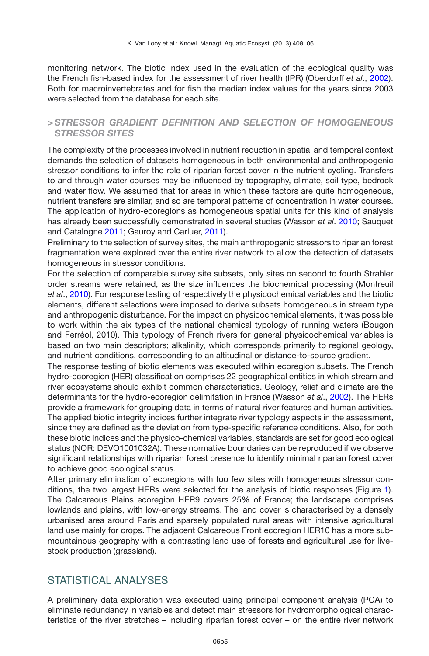monitoring network. The biotic index used in the evaluation of the ecological quality was the French fish-based index for the assessment of river health (IPR) (Oberdorff *et al*., [2002](#page-14-14)). Both for macroinvertebrates and for fish the median index values for the years since 2003 were selected from the database for each site.

### *> STRESSOR GRADIENT DEFINITION AND SELECTION OF HOMOGENEOUS STRESSOR SITES*

The complexity of the processes involved in nutrient reduction in spatial and temporal context demands the selection of datasets homogeneous in both environmental and anthropogenic stressor conditions to infer the role of riparian forest cover in the nutrient cycling. Transfers to and through water courses may be influenced by topography, climate, soil type, bedrock and water flow. We assumed that for areas in which these factors are quite homogeneous, nutrient transfers are similar, and so are temporal patterns of concentration in water courses. The application of hydro-ecoregions as homogeneous spatial units for this kind of analysis has already been successfully demonstrated in several studies (Wasson *et al*. [2010;](#page-15-13) Sauquet and Catalogne [2011;](#page-15-14) Gauroy and Carluer, [2011\)](#page-14-15).

Preliminary to the selection of survey sites, the main anthropogenic stressors to riparian forest fragmentation were explored over the entire river network to allow the detection of datasets homogeneous in stressor conditions.

For the selection of comparable survey site subsets, only sites on second to fourth Strahler order streams were retained, as the size influences the biochemical processing (Montreuil *et al*., [2010\)](#page-14-16). For response testing of respectively the physicochemical variables and the biotic elements, different selections were imposed to derive subsets homogeneous in stream type and anthropogenic disturbance. For the impact on physicochemical elements, it was possible to work within the six types of the national chemical typology of running waters (Bougon and Ferréol, 2010). This typology of French rivers for general physicochemical variables is based on two main descriptors; alkalinity, which corresponds primarily to regional geology, and nutrient conditions, corresponding to an altitudinal or distance-to-source gradient.

The response testing of biotic elements was executed within ecoregion subsets. The French hydro-ecoregion (HER) classification comprises 22 geographical entities in which stream and river ecosystems should exhibit common characteristics. Geology, relief and climate are the determinants for the hydro-ecoregion delimitation in France (Wasson *et al*., [2002\)](#page-15-15). The HERs provide a framework for grouping data in terms of natural river features and human activities. The applied biotic integrity indices further integrate river typology aspects in the assessment, since they are defined as the deviation from type-specific reference conditions. Also, for both these biotic indices and the physico-chemical variables, standards are set for good ecological status (NOR: DEVO1001032A). These normative boundaries can be reproduced if we observe significant relationships with riparian forest presence to identify minimal riparian forest cover to achieve good ecological status.

After primary elimination of ecoregions with too few sites with homogeneous stressor conditions, the two largest HERs were selected for the analysis of biotic responses (Figure [1\)](#page-5-0). The Calcareous Plains ecoregion HER9 covers 25% of France; the landscape comprises lowlands and plains, with low-energy streams. The land cover is characterised by a densely urbanised area around Paris and sparsely populated rural areas with intensive agricultural land use mainly for crops. The adjacent Calcareous Front ecoregion HER10 has a more submountainous geography with a contrasting land use of forests and agricultural use for livestock production (grassland).

## STATISTICAL ANALYSES

A preliminary data exploration was executed using principal component analysis (PCA) to eliminate redundancy in variables and detect main stressors for hydromorphological characteristics of the river stretches – including riparian forest cover – on the entire river network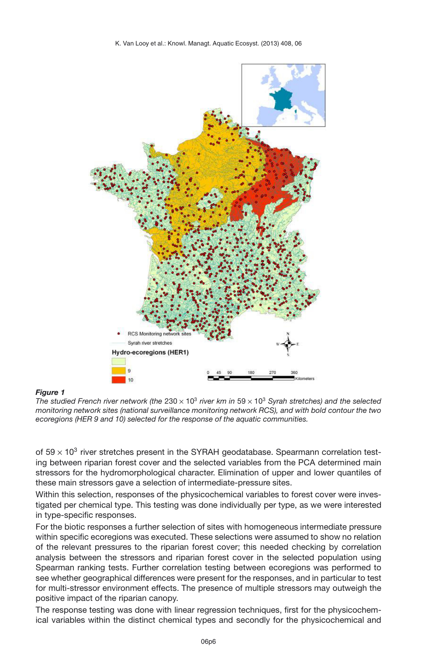

<span id="page-5-0"></span>*The studied French river network (the* 230 × 10<sup>3</sup> *river km in* 59 × 10<sup>3</sup> *Syrah stretches) and the selected monitoring network sites (national surveillance monitoring network RCS), and with bold contour the two ecoregions (HER 9 and 10) selected for the response of the aquatic communities.*

of  $59 \times 10^3$  river stretches present in the SYRAH geodatabase. Spearmann correlation testing between riparian forest cover and the selected variables from the PCA determined main stressors for the hydromorphological character. Elimination of upper and lower quantiles of these main stressors gave a selection of intermediate-pressure sites.

Within this selection, responses of the physicochemical variables to forest cover were investigated per chemical type. This testing was done individually per type, as we were interested in type-specific responses.

For the biotic responses a further selection of sites with homogeneous intermediate pressure within specific ecoregions was executed. These selections were assumed to show no relation of the relevant pressures to the riparian forest cover; this needed checking by correlation analysis between the stressors and riparian forest cover in the selected population using Spearman ranking tests. Further correlation testing between ecoregions was performed to see whether geographical differences were present for the responses, and in particular to test for multi-stressor environment effects. The presence of multiple stressors may outweigh the positive impact of the riparian canopy.

The response testing was done with linear regression techniques, first for the physicochemical variables within the distinct chemical types and secondly for the physicochemical and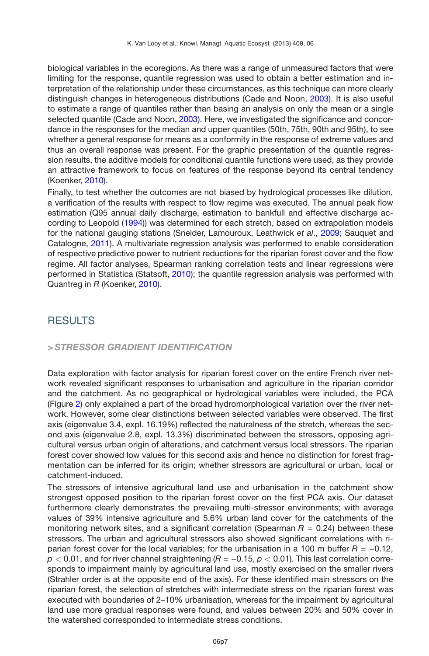biological variables in the ecoregions. As there was a range of unmeasured factors that were limiting for the response, quantile regression was used to obtain a better estimation and interpretation of the relationship under these circumstances, as this technique can more clearly distinguish changes in heterogeneous distributions (Cade and Noon, [2003\)](#page-14-17). It is also useful to estimate a range of quantiles rather than basing an analysis on only the mean or a single selected quantile (Cade and Noon, [2003](#page-14-17)). Here, we investigated the significance and concordance in the responses for the median and upper quantiles (50th, 75th, 90th and 95th), to see whether a general response for means as a conformity in the response of extreme values and thus an overall response was present. For the graphic presentation of the quantile regression results, the additive models for conditional quantile functions were used, as they provide an attractive framework to focus on features of the response beyond its central tendency (Koenker, [2010](#page-14-18)).

Finally, to test whether the outcomes are not biased by hydrological processes like dilution, a verification of the results with respect to flow regime was executed. The annual peak flow estimation (Q95 annual daily discharge, estimation to bankfull and effective discharge according to Leopold [\(1994\)](#page-14-19)) was determined for each stretch, based on extrapolation models for the national gauging stations (Snelder, Lamouroux, Leathwick *et al*., [2009;](#page-15-16) Sauquet and Catalogne, [2011](#page-15-14)). A multivariate regression analysis was performed to enable consideration of respective predictive power to nutrient reductions for the riparian forest cover and the flow regime. All factor analyses, Spearman ranking correlation tests and linear regressions were performed in Statistica (Statsoft, [2010\)](#page-15-17); the quantile regression analysis was performed with Quantreg in *R* (Koenker, [2010](#page-14-18)).

## **RESULTS**

## *> STRESSOR GRADIENT IDENTIFICATION*

Data exploration with factor analysis for riparian forest cover on the entire French river network revealed significant responses to urbanisation and agriculture in the riparian corridor and the catchment. As no geographical or hydrological variables were included, the PCA (Figure [2\)](#page-7-0) only explained a part of the broad hydromorphological variation over the river network. However, some clear distinctions between selected variables were observed. The first axis (eigenvalue 3.4, expl. 16.19%) reflected the naturalness of the stretch, whereas the second axis (eigenvalue 2.8, expl. 13.3%) discriminated between the stressors, opposing agricultural versus urban origin of alterations, and catchment versus local stressors. The riparian forest cover showed low values for this second axis and hence no distinction for forest fragmentation can be inferred for its origin; whether stressors are agricultural or urban, local or catchment-induced.

The stressors of intensive agricultural land use and urbanisation in the catchment show strongest opposed position to the riparian forest cover on the first PCA axis. Our dataset furthermore clearly demonstrates the prevailing multi-stressor environments; with average values of 39% intensive agriculture and 5.6% urban land cover for the catchments of the monitoring network sites, and a significant correlation (Spearman  $R = 0.24$ ) between these stressors. The urban and agricultural stressors also showed significant correlations with riparian forest cover for the local variables; for the urbanisation in a 100 m buffer *R* = −0.12, *p* < 0.01, and for river channel straightening (*R* = −0.15, *p* < 0.01). This last correlation corresponds to impairment mainly by agricultural land use, mostly exercised on the smaller rivers (Strahler order is at the opposite end of the axis). For these identified main stressors on the riparian forest, the selection of stretches with intermediate stress on the riparian forest was executed with boundaries of 2–10% urbanisation, whereas for the impairment by agricultural land use more gradual responses were found, and values between 20% and 50% cover in the watershed corresponded to intermediate stress conditions.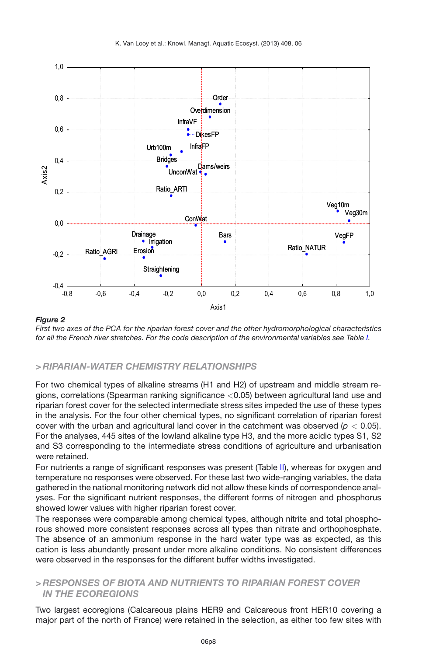<span id="page-7-0"></span>

*First two axes of the PCA for the riparian forest cover and the other hydromorphological characteristics for all the French river stretches. For the code description of the environmental variables see Table [I.](#page-3-0)*

### *> RIPARIAN-WATER CHEMISTRY RELATIONSHIPS*

For two chemical types of alkaline streams (H1 and H2) of upstream and middle stream regions, correlations (Spearman ranking significance *<*0.05) between agricultural land use and riparian forest cover for the selected intermediate stress sites impeded the use of these types in the analysis. For the four other chemical types, no significant correlation of riparian forest cover with the urban and agricultural land cover in the catchment was observed (*p <* 0.05). For the analyses, 445 sites of the lowland alkaline type H3, and the more acidic types S1, S2 and S3 corresponding to the intermediate stress conditions of agriculture and urbanisation were retained.

For nutrients a range of significant responses was present (Table [II\)](#page-8-0), whereas for oxygen and temperature no responses were observed. For these last two wide-ranging variables, the data gathered in the national monitoring network did not allow these kinds of correspondence analyses. For the significant nutrient responses, the different forms of nitrogen and phosphorus showed lower values with higher riparian forest cover.

The responses were comparable among chemical types, although nitrite and total phosphorous showed more consistent responses across all types than nitrate and orthophosphate. The absence of an ammonium response in the hard water type was as expected, as this cation is less abundantly present under more alkaline conditions. No consistent differences were observed in the responses for the different buffer widths investigated.

### *> RESPONSES OF BIOTA AND NUTRIENTS TO RIPARIAN FOREST COVER IN THE ECOREGIONS*

Two largest ecoregions (Calcareous plains HER9 and Calcareous front HER10 covering a major part of the north of France) were retained in the selection, as either too few sites with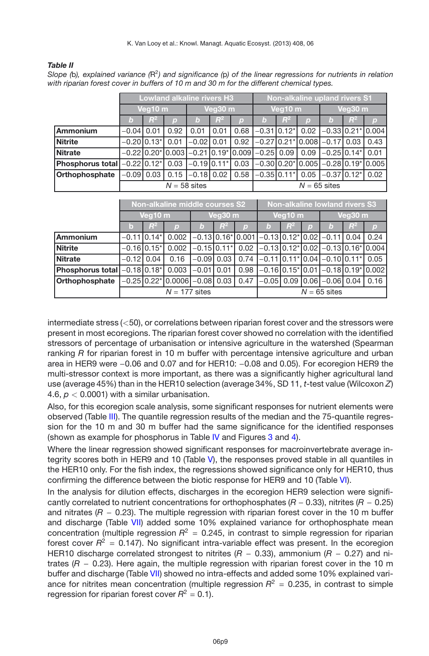### <span id="page-8-0"></span>*Table II*

*Slope (*b*), explained variance (*R2*) and significance (*p*) of the linear regressions for nutrients in relation with riparian forest cover in buffers of 10 m and 30 m for the different chemical types.*

|                                 |                                | <b>Lowland alkaline rivers H3</b> |                |                 |                 |                                | Non-alkaline upland rivers S1 |         |          |                                            |                             |                     |
|---------------------------------|--------------------------------|-----------------------------------|----------------|-----------------|-----------------|--------------------------------|-------------------------------|---------|----------|--------------------------------------------|-----------------------------|---------------------|
|                                 |                                | Veg10 m                           |                |                 | Veg30 m         |                                |                               | Veg10 m |          |                                            | Veg30 m                     |                     |
|                                 | b                              | $R^2$                             | $\omega$       | $\mathbf b$     | $R^2$           | $\omega$                       | b                             | $R^2$   | $\theta$ | b                                          | $R^2$                       | $\boldsymbol{p}$    |
| Ammonium                        | $-0.04$                        | 0.01                              | 0.92           | 0.01            | 0.01            | 0.68                           | $-0.31$ 0.12*                 |         | 0.02     |                                            |                             | $-0.3310.21*10.004$ |
| <b>Nitrite</b>                  | $-0.2010.13*$                  |                                   | 0.01           | $-0.02$         | 0.01            | 0.92                           |                               |         |          | -0.2710.21*10.0081-0.171                   | 0.03                        | 0.43                |
| <b>Nitrate</b>                  | $-0.22$ 0.20*                  |                                   | 0.003          | $-0.21$ 0.19*   |                 | 0.009                          | $-0.25$ 0.09                  |         | 0.09     | $-0.25$ 0.14*                              |                             | 0.01                |
| Phosphorus total $-0.22 0.12^*$ |                                |                                   | 0.03           | $-0.19$ [0.11*] |                 | 0.03                           |                               |         |          | $-0.30$  0.20* 0.005  $-0.28$  0.19* 0.005 |                             |                     |
| Orthophosphate                  | $-0.09$                        | 0.03                              | 0.15           | $-0.18$ 0.02    |                 | 0.58                           | $-0.35$ 0.11*                 |         | 0.05     | $-0.37 0.12*$                              |                             | 0.02                |
|                                 |                                |                                   | $N = 58$ sites |                 |                 |                                | $N = 65$ sites                |         |          |                                            |                             |                     |
|                                 |                                |                                   |                |                 |                 |                                |                               |         |          |                                            |                             |                     |
|                                 | Non-alkaline middle courses S2 |                                   |                |                 |                 | Non-alkaline lowland rivers S3 |                               |         |          |                                            |                             |                     |
|                                 |                                | Veg10 m                           |                |                 | <u>Veg30 m,</u> |                                |                               | Veg10 m |          |                                            | Veg30 m                     |                     |
|                                 |                                |                                   |                |                 | $-2$            |                                |                               | $-2$    |          |                                            | $\sim$ $\sim$ $\sim$ $\sim$ |                     |

|                                                                      | Veg10 m         |        |                                              | $Veq30$ m |              |                | Veg10 m                                                                                                                                     |       |     | Veg30 m                                 |       |      |
|----------------------------------------------------------------------|-----------------|--------|----------------------------------------------|-----------|--------------|----------------|---------------------------------------------------------------------------------------------------------------------------------------------|-------|-----|-----------------------------------------|-------|------|
|                                                                      | b               | $AR^2$ | Го.                                          | b         | $\sqrt{R^2}$ | Ю              | $\mathbf{b}$                                                                                                                                | $R^2$ | TO. |                                         | $R^2$ | p    |
| Ammonium                                                             | $-0.11$ 0.14*   |        | $0.002$ I                                    |           |              |                | l-0.13l0.16*l0.001l-0.13l0.12*l0.02l-0.11l0.04                                                                                              |       |     |                                         |       | 0.24 |
| <b>Nitrite</b>                                                       | $-0.16$ 0.15*   |        | 0.002                                        |           |              |                | $\left[-0.15\right]0.11^{*}$ 0.02 $\left[-0.13\right]0.12^{*}$ 0.02 $\left[-0.13\right]0.16^{*}$ 0.004                                      |       |     |                                         |       |      |
| <b>Nitrate</b>                                                       | $-0.12$ 0.04    |        | 0.16                                         |           |              |                | $\left[-0.09\right]$ 0.03 $\left[0.74\right]$ $\left[-0.11\right]$ 0.11* $\left[0.04\right]$ $\left[-0.10\right]$ 0.11* $\left[1.00\right]$ |       |     |                                         |       | 0.05 |
| <b>Phosphorus total</b> $-0.18$ 0.18 <sup>*</sup> 0.003 $-0.01$ 0.01 |                 |        |                                              |           |              |                | $\mid$ 0.98 $\mid$ -0.16 $\mid$ 0.15* $\mid$ 0.01 $\mid$ -0.18 $\mid$ 0.19* $\mid$ 0.002                                                    |       |     |                                         |       |      |
| Orthophosphate                                                       |                 |        | -0.25   0.22*   0.0006   -0.08   0.03   0.47 |           |              |                |                                                                                                                                             |       |     | $-0.05$   0.09 $ 0.06$   $-0.06$   0.04 |       | 0.16 |
|                                                                      | $N = 177$ sites |        |                                              |           |              | $N = 65$ sites |                                                                                                                                             |       |     |                                         |       |      |

intermediate stress (*<*50), or correlations between riparian forest cover and the stressors were present in most ecoregions. The riparian forest cover showed no correlation with the identified stressors of percentage of urbanisation or intensive agriculture in the watershed (Spearman ranking *R* for riparian forest in 10 m buffer with percentage intensive agriculture and urban area in HER9 were −0.06 and 0.07 and for HER10: −0.08 and 0.05). For ecoregion HER9 the multi-stressor context is more important, as there was a significantly higher agricultural land use (average 45%) than in the HER10 selection (average 34%, SD 11, *t*-test value (Wilcoxon *Z*) 4.6,  $p < 0.0001$ ) with a similar urbanisation.

Also, for this ecoregion scale analysis, some significant responses for nutrient elements were observed (Table [III\)](#page-9-0). The quantile regression results of the median and the 75-quantile regression for the 10 m and 30 m buffer had the same significance for the identified responses (shown as example for phosphorus in Table [IV](#page-9-1) and Figures [3](#page-10-0) and [4\)](#page-11-0).

Where the linear regression showed significant responses for macroinvertebrate average integrity scores both in HER9 and 10 (Table [V\)](#page-11-1), the responses proved stable in all quantiles in the HER10 only. For the fish index, the regressions showed significance only for HER10, thus confirming the difference between the biotic response for HER9 and 10 (Table [VI\)](#page-11-2).

In the analysis for dilution effects, discharges in the ecoregion HER9 selection were significantly correlated to nutrient concentrations for orthophosphates (*R* − 0.33), nitrites (*R* − 0.25) and nitrates (*R* − 0.23). The multiple regression with riparian forest cover in the 10 m buffer and discharge (Table [VII\)](#page-12-0) added some 10% explained variance for orthophosphate mean concentration (multiple regression  $R^2 = 0.245$ , in contrast to simple regression for riparian forest cover  $R^2 = 0.147$ ). No significant intra-variable effect was present. In the ecoregion HER10 discharge correlated strongest to nitrites (*R* − 0.33), ammonium (*R* − 0.27) and nitrates (*R* − 0.23). Here again, the multiple regression with riparian forest cover in the 10 m buffer and discharge (Table [VII\)](#page-12-0) showed no intra-effects and added some 10% explained variance for nitrites mean concentration (multiple regression  $R^2 = 0.235$ , in contrast to simple regression for riparian forest cover  $R^2 = 0.1$ ).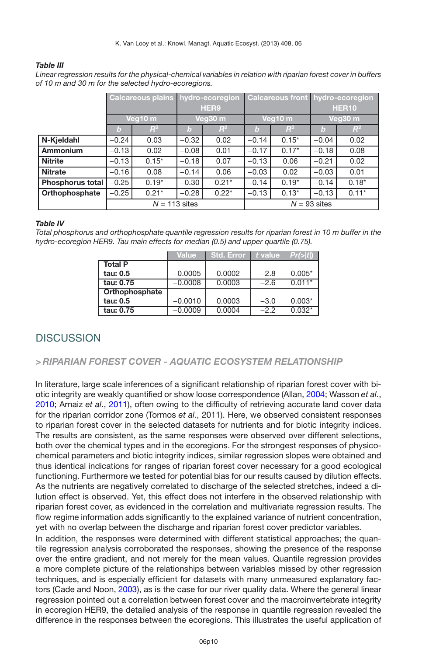#### *Table III*

|                         |         |                 | <b>Calcareous plains</b> hydro-ecoregion<br>Calcareous front   hydro-ecoregion |                |         |         |                   |         |
|-------------------------|---------|-----------------|--------------------------------------------------------------------------------|----------------|---------|---------|-------------------|---------|
|                         |         |                 |                                                                                | HER9           |         |         | HER <sub>10</sub> |         |
|                         | Veg10 m |                 |                                                                                | Veg30 m        |         | Veg10 m | Veg30 m           |         |
|                         | b       | $R^2$           | b                                                                              | $R^2$          | b       | $R^2$   | b                 | $R^2$   |
| N-Kjeldahl              | $-0.24$ | 0.03            | $-0.32$                                                                        | 0.02           | $-0.14$ | $0.15*$ | $-0.04$           | 0.02    |
| Ammonium                | $-0.13$ | 0.02            | $-0.08$                                                                        | 0.01           | $-0.17$ | $0.17*$ | $-0.18$           | 0.08    |
| <b>Nitrite</b>          | $-0.13$ | $0.15*$         | $-0.18$                                                                        | 0.07           | $-0.13$ | 0.06    | $-0.21$           | 0.02    |
| <b>Nitrate</b>          | $-0.16$ | 0.08            | $-0.14$                                                                        | 0.06           | $-0.03$ | 0.02    | $-0.03$           | 0.01    |
| <b>Phosphorus total</b> | $-0.25$ | $0.19*$         | $-0.30$                                                                        | $0.21*$        | $-0.14$ | $0.19*$ | $-0.14$           | $0.18*$ |
| Orthophosphate          | $-0.25$ | $0.21*$         | $-0.28$                                                                        | $0.22*$        | $-0.13$ | $0.13*$ | $-0.13$           | $0.11*$ |
|                         |         | $N = 113$ sites |                                                                                | $N = 93$ sites |         |         |                   |         |

<span id="page-9-0"></span>*Linear regression results for the physical-chemical variables in relation with riparian forest cover in buffers of 10 m and 30 m for the selected hydro-ecoregions.*

### <span id="page-9-1"></span>*Table IV*

*Total phosphorus and orthophosphate quantile regression results for riparian forest in 10 m buffer in the hydro-ecoregion HER9. Tau main effects for median (0.5) and upper quartile (0.75).*

|                | Value     | <b>Std. Error</b> | t value | $Pr($ >ltl |
|----------------|-----------|-------------------|---------|------------|
| <b>Total P</b> |           |                   |         |            |
| tau: 0.5       | $-0.0005$ | 0.0002            | $-2.8$  | $0.005*$   |
| tau: 0.75      | $-0.0008$ | 0.0003            | $-2.6$  | $0.011*$   |
| Orthophosphate |           |                   |         |            |
| tau: 0.5       | $-0.0010$ | 0.0003            | $-3.0$  | $0.003*$   |
| tau: 0.75      | $-0.0009$ | 0.0004            | $-2.2$  | $0.032*$   |

## **DISCUSSION**

## *> RIPARIAN FOREST COVER - AQUATIC ECOSYSTEM RELATIONSHIP*

In literature, large scale inferences of a significant relationship of riparian forest cover with biotic integrity are weakly quantified or show loose correspondence (Allan, [2004](#page-13-7); Wasson *et al*., [2010;](#page-15-13) Arnaiz *et al*., [2011\)](#page-13-0), often owing to the difficulty of retrieving accurate land cover data for the riparian corridor zone (Tormos *et al*., 2011). Here, we observed consistent responses to riparian forest cover in the selected datasets for nutrients and for biotic integrity indices. The results are consistent, as the same responses were observed over different selections, both over the chemical types and in the ecoregions. For the strongest responses of physicochemical parameters and biotic integrity indices, similar regression slopes were obtained and thus identical indications for ranges of riparian forest cover necessary for a good ecological functioning. Furthermore we tested for potential bias for our results caused by dilution effects. As the nutrients are negatively correlated to discharge of the selected stretches, indeed a dilution effect is observed. Yet, this effect does not interfere in the observed relationship with riparian forest cover, as evidenced in the correlation and multivariate regression results. The flow regime information adds significantly to the explained variance of nutrient concentration, yet with no overlap between the discharge and riparian forest cover predictor variables.

In addition, the responses were determined with different statistical approaches; the quantile regression analysis corroborated the responses, showing the presence of the response over the entire gradient, and not merely for the mean values. Quantile regression provides a more complete picture of the relationships between variables missed by other regression techniques, and is especially efficient for datasets with many unmeasured explanatory factors (Cade and Noon, [2003\)](#page-14-17), as is the case for our river quality data. Where the general linear regression pointed out a correlation between forest cover and the macroinvertebrate integrity in ecoregion HER9, the detailed analysis of the response in quantile regression revealed the difference in the responses between the ecoregions. This illustrates the useful application of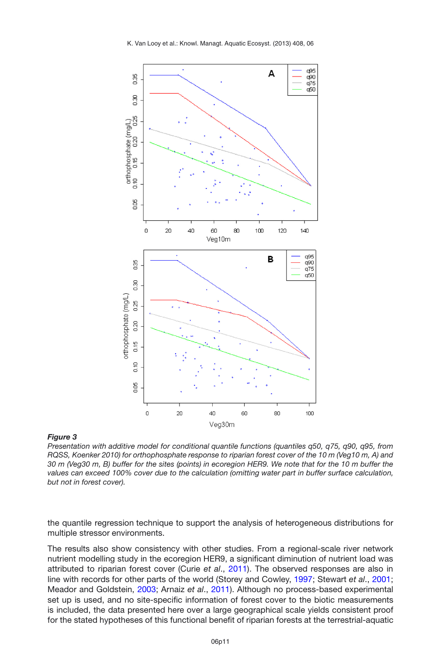

<span id="page-10-0"></span>*Presentation with additive model for conditional quantile functions (quantiles q50, q75, q90, q95, from RQSS, Koenker 2010) for orthophosphate response to riparian forest cover of the 10 m (Veg10 m, A) and 30 m (Veg30 m, B) buffer for the sites (points) in ecoregion HER9. We note that for the 10 m buffer the values can exceed 100% cover due to the calculation (omitting water part in buffer surface calculation, but not in forest cover).*

the quantile regression technique to support the analysis of heterogeneous distributions for multiple stressor environments.

The results also show consistency with other studies. From a regional-scale river network nutrient modelling study in the ecoregion HER9, a significant diminution of nutrient load was attributed to riparian forest cover (Curie *et al*., [2011\)](#page-14-5). The observed responses are also in line with records for other parts of the world (Storey and Cowley, [1997;](#page-15-1) Stewart *et al*., [2001;](#page-15-5) Meador and Goldstein, [2003;](#page-14-20) Arnaiz *et al*., [2011](#page-13-0)). Although no process-based experimental set up is used, and no site-specific information of forest cover to the biotic measurements is included, the data presented here over a large geographical scale yields consistent proof for the stated hypotheses of this functional benefit of riparian forests at the terrestrial-aquatic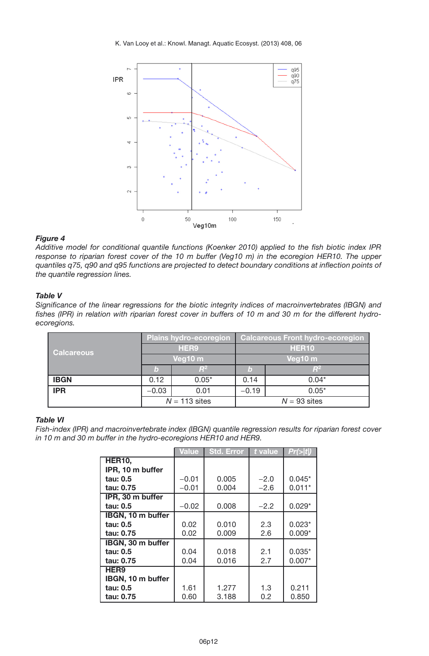<span id="page-11-0"></span>

*Additive model for conditional quantile functions (Koenker 2010) applied to the fish biotic index IPR response to riparian forest cover of the 10 m buffer (Veg10 m) in the ecoregion HER10. The upper quantiles q75, q90 and q95 functions are projected to detect boundary conditions at inflection points of the quantile regression lines.*

### <span id="page-11-1"></span>*Table V*

*Significance of the linear regressions for the biotic integrity indices of macroinvertebrates (IBGN) and fishes (IPR) in relation with riparian forest cover in buffers of 10 m and 30 m for the different hydroecoregions.*

|                   |                 | Plains hydro-ecoregion | <b>Calcareous Front hydro-ecoregion</b> |                |  |  |  |
|-------------------|-----------------|------------------------|-----------------------------------------|----------------|--|--|--|
| <b>Calcareous</b> |                 | HER <sub>9</sub>       | HER <sub>10</sub>                       |                |  |  |  |
|                   |                 | Veg10 m                | Veg10 m                                 |                |  |  |  |
|                   | Iō              | $R^2$                  |                                         | $R^2$          |  |  |  |
| <b>IBGN</b>       | 0.12            | $0.05*$                | 0.14                                    | $0.04*$        |  |  |  |
| <b>IPR</b>        | $-0.03$         | 0.01                   | $-0.19$                                 | $0.05*$        |  |  |  |
|                   | $N = 113$ sites |                        |                                         | $N = 93$ sites |  |  |  |

#### <span id="page-11-2"></span>*Table VI*

*Fish-index (IPR) and macroinvertebrate index (IBGN) quantile regression results for riparian forest cover in 10 m and 30 m buffer in the hydro-ecoregions HER10 and HER9.*

|                   | <b>Value</b> | <b>Std. Error</b> | t value | $Pr($ > t |
|-------------------|--------------|-------------------|---------|-----------|
| <b>HER10.</b>     |              |                   |         |           |
| IPR, 10 m buffer  |              |                   |         |           |
| tau: 0.5          | $-0.01$      | 0.005             | $-2.0$  | $0.045*$  |
| tau: 0.75         | $-0.01$      | 0.004             | $-2.6$  | $0.011*$  |
| IPR, 30 m buffer  |              |                   |         |           |
| tau: 0.5          | $-0.02$      | 0.008             | $-2.2$  | $0.029*$  |
| IBGN, 10 m buffer |              |                   |         |           |
| tau: 0.5          | 0.02         | 0.010             | 2.3     | $0.023*$  |
| tau: 0.75         | 0.02         | 0.009             | 2.6     | $0.009*$  |
| IBGN, 30 m buffer |              |                   |         |           |
| tau: 0.5          | 0.04         | 0.018             | 2.1     | $0.035*$  |
| tau: 0.75         | 0.04         | 0.016             | 2.7     | $0.007*$  |
| HER9              |              |                   |         |           |
| IBGN, 10 m buffer |              |                   |         |           |
| tau: 0.5          | 1.61         | 1.277             | 1.3     | 0.211     |
| tau: 0.75         | 0.60         | 3.188             | 0.2     | 0.850     |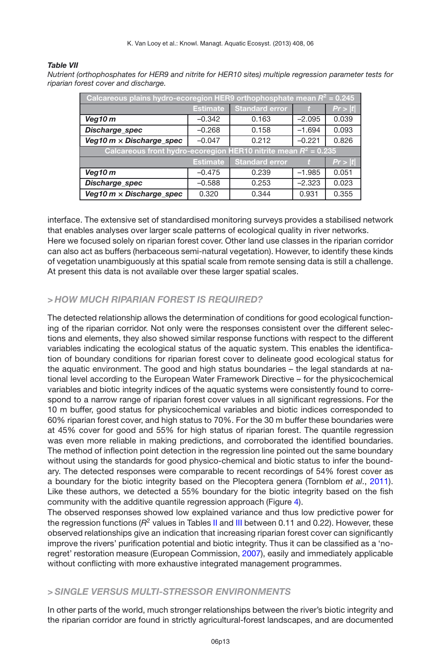K. Van Looy et al.: Knowl. Managt. Aquatic Ecosyst. (2013) 408, 06

### <span id="page-12-0"></span>*Table VII*

*Nutrient (orthophosphates for HER9 and nitrite for HER10 sites) multiple regression parameter tests for riparian forest cover and discharge.*

| Calcareous plains hydro-ecoregion HER9 orthophosphate mean $R^2$ = 0.245 |                 |                       |          |         |  |  |  |  |
|--------------------------------------------------------------------------|-----------------|-----------------------|----------|---------|--|--|--|--|
|                                                                          | <b>Estimate</b> | <b>Standard error</b> |          | Pr >  t |  |  |  |  |
| Veg10 m                                                                  | $-0.342$        | 0.163                 | $-2.095$ | 0.039   |  |  |  |  |
| Discharge_spec                                                           | $-0.268$        | 0.158                 | $-1.694$ | 0.093   |  |  |  |  |
| Veg10 $m \times$ Discharge_spec                                          | $-0.047$        | 0.212                 | $-0.221$ | 0.826   |  |  |  |  |
| Calcareous front hydro-ecoregion HER10 nitrite mean $R^2$ = 0.235        |                 |                       |          |         |  |  |  |  |
|                                                                          | <b>Estimate</b> | <b>Standard error</b> |          | Pr >  t |  |  |  |  |
| V <sub>eg10</sub> m                                                      | $-0.475$        | 0.239                 | $-1.985$ | 0.051   |  |  |  |  |
| Discharge_spec                                                           | $-0.588$        | 0.253                 | $-2.323$ | 0.023   |  |  |  |  |
| Veg10 $m \times$ Discharge_spec                                          | 0.320           | 0.344                 | 0.931    | 0.355   |  |  |  |  |

interface. The extensive set of standardised monitoring surveys provides a stabilised network that enables analyses over larger scale patterns of ecological quality in river networks. Here we focused solely on riparian forest cover. Other land use classes in the riparian corridor can also act as buffers (herbaceous semi-natural vegetation). However, to identify these kinds of vegetation unambiguously at this spatial scale from remote sensing data is still a challenge. At present this data is not available over these larger spatial scales.

## *> HOW MUCH RIPARIAN FOREST IS REQUIRED?*

The detected relationship allows the determination of conditions for good ecological functioning of the riparian corridor. Not only were the responses consistent over the different selections and elements, they also showed similar response functions with respect to the different variables indicating the ecological status of the aquatic system. This enables the identification of boundary conditions for riparian forest cover to delineate good ecological status for the aquatic environment. The good and high status boundaries – the legal standards at national level according to the European Water Framework Directive – for the physicochemical variables and biotic integrity indices of the aquatic systems were consistently found to correspond to a narrow range of riparian forest cover values in all significant regressions. For the 10 m buffer, good status for physicochemical variables and biotic indices corresponded to 60% riparian forest cover, and high status to 70%. For the 30 m buffer these boundaries were at 45% cover for good and 55% for high status of riparian forest. The quantile regression was even more reliable in making predictions, and corroborated the identified boundaries. The method of inflection point detection in the regression line pointed out the same boundary without using the standards for good physico-chemical and biotic status to infer the boundary. The detected responses were comparable to recent recordings of 54% forest cover as a boundary for the biotic integrity based on the Plecoptera genera (Tornblom *et al*., [2011](#page-15-18)). Like these authors, we detected a 55% boundary for the biotic integrity based on the fish community with the additive quantile regression approach (Figure [4\)](#page-11-0).

The observed responses showed low explained variance and thus low predictive power for the regression functions  $(R^2$  values in Tables [II](#page-8-0) and [III](#page-9-0) between 0.11 and 0.22). However, these observed relationships give an indication that increasing riparian forest cover can significantly improve the rivers' purification potential and biotic integrity. Thus it can be classified as a 'noregret' restoration measure (European Commission, [2007](#page-14-21)), easily and immediately applicable without conflicting with more exhaustive integrated management programmes.

### *> SINGLE VERSUS MULTI-STRESSOR ENVIRONMENTS*

In other parts of the world, much stronger relationships between the river's biotic integrity and the riparian corridor are found in strictly agricultural-forest landscapes, and are documented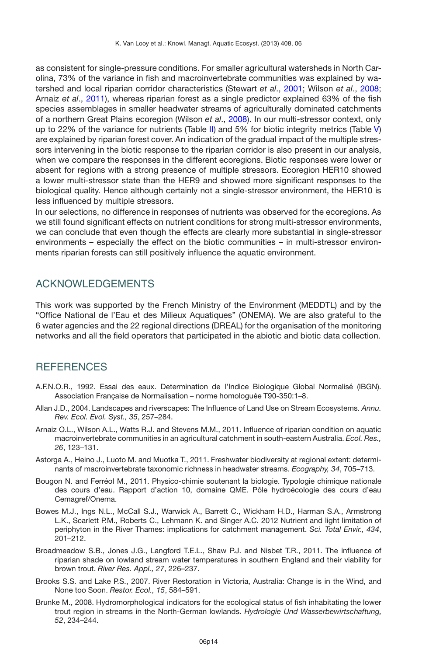as consistent for single-pressure conditions. For smaller agricultural watersheds in North Carolina, 73% of the variance in fish and macroinvertebrate communities was explained by watershed and local riparian corridor characteristics (Stewart *et al*., [2001;](#page-15-5) Wilson *et al*., [2008;](#page-15-6) Arnaiz *et al*., [2011\)](#page-13-0), whereas riparian forest as a single predictor explained 63% of the fish species assemblages in smaller headwater streams of agriculturally dominated catchments of a northern Great Plains ecoregion (Wilson *et al*., [2008\)](#page-15-6). In our multi-stressor context, only up to 22% of the variance for nutrients (Table [II\)](#page-8-0) and 5% for biotic integrity metrics (Table [V\)](#page-11-1) are explained by riparian forest cover. An indication of the gradual impact of the multiple stressors intervening in the biotic response to the riparian corridor is also present in our analysis, when we compare the responses in the different ecoregions. Biotic responses were lower or absent for regions with a strong presence of multiple stressors. Ecoregion HER10 showed a lower multi-stressor state than the HER9 and showed more significant responses to the biological quality. Hence although certainly not a single-stressor environment, the HER10 is less influenced by multiple stressors.

In our selections, no difference in responses of nutrients was observed for the ecoregions. As we still found significant effects on nutrient conditions for strong multi-stressor environments, we can conclude that even though the effects are clearly more substantial in single-stressor environments – especially the effect on the biotic communities – in multi-stressor environments riparian forests can still positively influence the aquatic environment.

## ACKNOWLEDGEMENTS

This work was supported by the French Ministry of the Environment (MEDDTL) and by the "Office National de l'Eau et des Milieux Aquatiques" (ONEMA). We are also grateful to the 6 water agencies and the 22 regional directions (DREAL) for the organisation of the monitoring networks and all the field operators that participated in the abiotic and biotic data collection.

## **REFERENCES**

- <span id="page-13-6"></span>A.F.N.O.R., 1992. Essai des eaux. Determination de l'Indice Biologique Global Normalisé (IBGN). Association Française de Normalisation – norme homologuée T90-350:1–8.
- <span id="page-13-7"></span>Allan J.D., 2004. Landscapes and riverscapes: The Influence of Land Use on Stream Ecosystems. *Annu. Rev. Ecol. Evol. Syst., 35*, 257–284.
- <span id="page-13-0"></span>Arnaiz O.L., Wilson A.L., Watts R.J. and Stevens M.M., 2011. Influence of riparian condition on aquatic macroinvertebrate communities in an agricultural catchment in south-eastern Australia. *Ecol. Res., 26*, 123–131.
- <span id="page-13-4"></span>Astorga A., Heino J., Luoto M. and Muotka T., 2011. Freshwater biodiversity at regional extent: determinants of macroinvertebrate taxonomic richness in headwater streams. *Ecography, 34*, 705–713.
- Bougon N. and Ferréol M., 2011. Physico-chimie soutenant la biologie. Typologie chimique nationale des cours d'eau. Rapport d'action 10, domaine QME. Pôle hydroécologie des cours d'eau Cemagref/Onema.
- <span id="page-13-3"></span>Bowes M.J., Ings N.L., McCall S.J., Warwick A., Barrett C., Wickham H.D., Harman S.A., Armstrong L.K., Scarlett P.M., Roberts C., Lehmann K. and Singer A.C. 2012 Nutrient and light limitation of periphyton in the River Thames: implications for catchment management. *Sci. Total Envir., 434*, 201–212.
- <span id="page-13-1"></span>Broadmeadow S.B., Jones J.G., Langford T.E.L., Shaw P.J. and Nisbet T.R., 2011. The influence of riparian shade on lowland stream water temperatures in southern England and their viability for brown trout. *River Res. Appl., 27*, 226–237.
- <span id="page-13-5"></span>Brooks S.S. and Lake P.S., 2007. River Restoration in Victoria, Australia: Change is in the Wind, and None too Soon. *Restor. Ecol., 15*, 584–591.
- <span id="page-13-2"></span>Brunke M., 2008. Hydromorphological indicators for the ecological status of fish inhabitating the lower trout region in streams in the North-German lowlands. *Hydrologie Und Wasserbewirtschaftung, 52*, 234–244.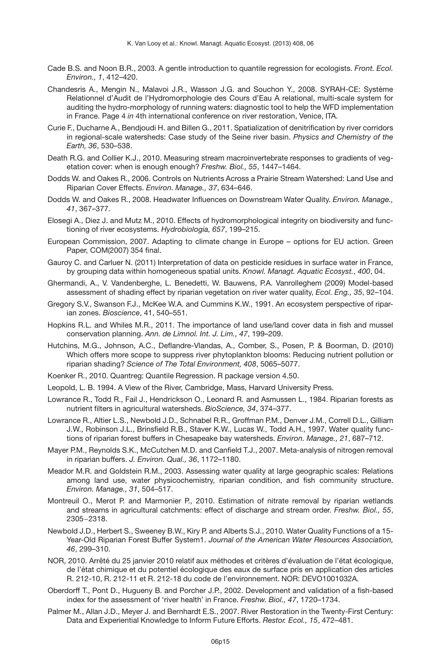- <span id="page-14-17"></span>Cade B.S. and Noon B.R., 2003. A gentle introduction to quantile regression for ecologists. *Front. Ecol. Environ., 1*, 412–420.
- <span id="page-14-13"></span>Chandesris A., Mengin N., Malavoi J.R., Wasson J.G. and Souchon Y., 2008. SYRAH-CE: Système Relationnel d'Audit de l'Hydromorphologie des Cours d'Eau A relational, multi-scale system for auditing the hydro-morphology of running waters: diagnostic tool to help the WFD implementation in France. Page 4 *in* 4th international conference on river restoration, Venice, ITA.
- <span id="page-14-5"></span>Curie F., Ducharne A., Bendjoudi H. and Billen G., 2011. Spatialization of denitrification by river corridors in regional-scale watersheds: Case study of the Seine river basin. *Physics and Chemistry of the Earth, 36*, 530–538.
- <span id="page-14-10"></span>Death R.G. and Collier K.J., 2010. Measuring stream macroinvertebrate responses to gradients of vegetation cover: when is enough enough? *Freshw. Biol., 55*, 1447–1464.
- <span id="page-14-3"></span>Dodds W. and Oakes R., 2006. Controls on Nutrients Across a Prairie Stream Watershed: Land Use and Riparian Cover Effects. *Environ. Manage., 37*, 634–646.
- Dodds W. and Oakes R., 2008. Headwater Influences on Downstream Water Quality. *Environ. Manage., 41*, 367–377.
- <span id="page-14-6"></span>Elosegi A., Diez J. and Mutz M., 2010. Effects of hydromorphological integrity on biodiversity and functioning of river ecosystems. *Hydrobiologia, 657*, 199–215.
- <span id="page-14-21"></span>European Commission, 2007. Adapting to climate change in Europe – options for EU action. Green Paper, COM(2007) 354 final.
- <span id="page-14-15"></span>Gauroy C. and Carluer N. (2011) Interpretation of data on pesticide residues in surface water in France, by grouping data within homogeneous spatial units. *Knowl. Managt. Aquatic Ecosyst.*, *400*, 04.
- <span id="page-14-9"></span>Ghermandi, A., V. Vandenberghe, L. Benedetti, W. Bauwens, P.A. Vanrolleghem (2009) Model-based assessment of shading effect by riparian vegetation on river water quality, *Ecol. Eng., 35*, 92–104.
- <span id="page-14-11"></span>Gregory S.V., Swanson F.J., McKee W.A. and Cummins K.W., 1991. An ecosystem perspective of riparian zones. *Bioscience*, 41, 540–551.
- <span id="page-14-7"></span>Hopkins R.L. and Whiles M.R., 2011. The importance of land use/land cover data in fish and mussel conservation planning. *Ann. de Limnol. Int. J. Lim., 47*, 199–209.
- <span id="page-14-8"></span>Hutchins, M.G., Johnson, A.C., Deflandre-Vlandas, A., Comber, S., Posen, P. & Boorman, D. (2010) Which offers more scope to suppress river phytoplankton blooms: Reducing nutrient pollution or riparian shading? *Science of The Total Environment, 408*, 5065–5077.
- <span id="page-14-18"></span>Koenker R., 2010. Quantreg: Quantile Regression. R package version 4.50.
- <span id="page-14-19"></span>Leopold, L. B. 1994. A View of the River, Cambridge, Mass, Harvard University Press.
- <span id="page-14-1"></span>Lowrance R., Todd R., Fail J., Hendrickson O., Leonard R. and Asmussen L., 1984. Riparian forests as nutrient filters in agricultural watersheds. *BioScience, 34*, 374–377.
- <span id="page-14-2"></span>Lowrance R., Altier L.S., Newbold J.D., Schnabel R.R., Groffman P.M., Denver J.M., Correll D.L., Gilliam J.W., Robinson J.L., Brinsfield R.B., Staver K.W., Lucas W., Todd A.H., 1997. Water quality functions of riparian forest buffers in Chesapeake bay watersheds. *Environ. Manage., 21*, 687–712.
- <span id="page-14-0"></span>Mayer P.M., Reynolds S.K., McCutchen M.D. and Canfield T.J., 2007. Meta-analysis of nitrogen removal in riparian buffers. *J. Environ. Qual., 36*, 1172–1180.
- <span id="page-14-20"></span>Meador M.R. and Goldstein R.M., 2003. Assessing water quality at large geographic scales: Relations among land use, water physicochemistry, riparian condition, and fish community structure. *Environ. Manage., 31*, 504–517.
- <span id="page-14-16"></span>Montreuil O., Merot P. and Marmonier P., 2010. Estimation of nitrate removal by riparian wetlands and streams in agricultural catchments: effect of discharge and stream order. *Freshw. Biol., 55*, 2305−2318.
- <span id="page-14-4"></span>Newbold J.D., Herbert S., Sweeney B.W., Kiry P. and Alberts S.J., 2010. Water Quality Functions of a 15- Year-Old Riparian Forest Buffer System1. *Journal of the American Water Resources Association, 46*, 299–310.
- NOR, 2010. Arrêté du 25 janvier 2010 relatif aux méthodes et critères d'évaluation de l'état écologique, de l'état chimique et du potentiel écologique des eaux de surface pris en application des articles R. 212-10, R. 212-11 et R. 212-18 du code de l'environnement. NOR: DEVO1001032A.
- <span id="page-14-14"></span>Oberdorff T., Pont D., Hugueny B. and Porcher J.P., 2002. Development and validation of a fish-based index for the assessment of 'river health' in France. *Freshw. Biol., 47*, 1720–1734.
- <span id="page-14-12"></span>Palmer M., Allan J.D., Meyer J. and Bernhardt E.S., 2007. River Restoration in the Twenty-First Century: Data and Experiential Knowledge to Inform Future Efforts. *Restor. Ecol., 15*, 472–481.